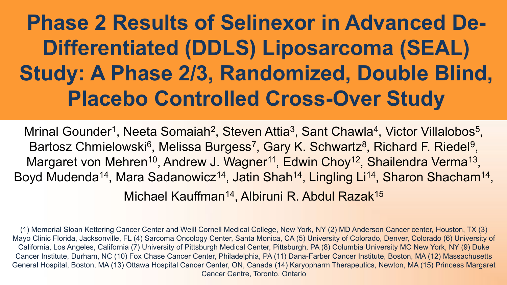# **Phase 2 Results of Selinexor in Advanced De-Differentiated (DDLS) Liposarcoma (SEAL) Study: A Phase 2/3, Randomized, Double Blind, Placebo Controlled Cross-Over Study**

Mrinal Gounder<sup>1</sup>, Neeta Somaiah<sup>2</sup>, Steven Attia<sup>3</sup>, Sant Chawla<sup>4</sup>, Victor Villalobos<sup>5</sup>, Bartosz Chmielowski<sup>6</sup>, Melissa Burgess<sup>7</sup>, Gary K. Schwartz<sup>8</sup>, Richard F. Riedel<sup>9</sup>, Margaret von Mehren<sup>10</sup>, Andrew J. Wagner<sup>11</sup>, Edwin Choy<sup>12</sup>, Shailendra Verma<sup>13</sup>, Boyd Mudenda<sup>14</sup>, Mara Sadanowicz<sup>14</sup>, Jatin Shah<sup>14</sup>, Lingling Li<sup>14</sup>, Sharon Shacham<sup>14</sup>, Michael Kauffman<sup>14</sup>, Albiruni R. Abdul Razak<sup>15</sup>

(1) Memorial Sloan Kettering Cancer Center and Weill Cornell Medical College, New York, NY (2) MD Anderson Cancer center, Houston, TX (3) Mayo Clinic Florida, Jacksonville, FL (4) Sarcoma Oncology Center, Santa Monica, CA (5) University of Colorado, Denver, Colorado (6) University of California, Los Angeles, California (7) University of Pittsburgh Medical Center, Pittsburgh, PA (8) Columbia University MC New York, NY (9) Duke Cancer Institute, Durham, NC (10) Fox Chase Cancer Center, Philadelphia, PA (11) Dana-Farber Cancer Institute, Boston, MA (12) Massachusetts General Hospital, Boston, MA (13) Ottawa Hospital Cancer Center, ON, Canada (14) Karyopharm Therapeutics, Newton, MA (15) Princess Margaret Cancer Centre, Toronto, Ontario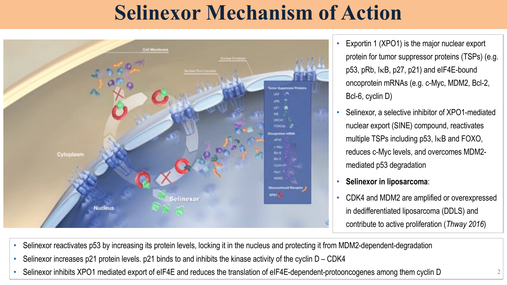## **Selinexor Mechanism of Action**



- Exportin 1 (XPO1) is the major nuclear export protein for tumor suppressor proteins (TSPs) (e.g.  $p53$ ,  $pRb$ ,  $kB$ ,  $p27$ ,  $p21$ ) and eIF4E-bound oncoprotein mRNAs (e.g. c-Myc, MDM2, Bcl-2, Bcl-6, cyclin D)
- Selinexor, a selective inhibitor of XPO1-mediated nuclear export (SINE) compound, reactivates multiple TSPs including  $p53$ ,  $kB$  and FOXO, reduces c-Myc levels, and overcomes MDM2 mediated p53 degradation
- **Selinexor in liposarcoma**:
- CDK4 and MDM2 are amplified or overexpressed in dedifferentiated liposarcoma (DDLS) and contribute to active proliferation (*Thway 2016*)
- Selinexor reactivates p53 by increasing its protein levels, locking it in the nucleus and protecting it from MDM2-dependent-degradation
- Selinexor increases p21 protein levels. p21 binds to and inhibits the kinase activity of the cyclin D CDK4
- Selinexor inhibits XPO1 mediated export of eIF4E and reduces the translation of eIF4E-dependent-protooncogenes among them cyclin D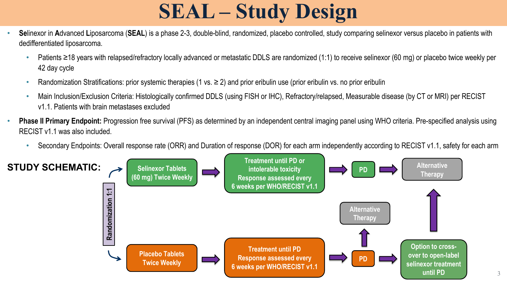# **SEAL – Study Design**

- **Se**linexor in **A**dvanced **L**iposarcoma (**SEAL**) is a phase 2-3, double-blind, randomized, placebo controlled, study comparing selinexor versus placebo in patients with dedifferentiated liposarcoma.
	- Patients ≥18 years with relapsed/refractory locally advanced or metastatic DDLS are randomized (1:1) to receive selinexor (60 mg) or placebo twice weekly per 42 day cycle
	- Randomization Stratifications: prior systemic therapies (1 vs.  $\geq$  2) and prior eribulin use (prior eribulin vs. no prior eribulin
	- Main Inclusion/Exclusion Criteria: Histologically confirmed DDLS (using FISH or IHC), Refractory/relapsed, Measurable disease (by CT or MRI) per RECIST v1.1. Patients with brain metastases excluded
- **Phase II Primary Endpoint:** Progression free survival (PFS) as determined by an independent central imaging panel using WHO criteria. Pre-specified analysis using RECIST v1.1 was also included.
	- Secondary Endpoints: Overall response rate (ORR) and Duration of response (DOR) for each arm independently according to RECIST v1.1, safety for each arm

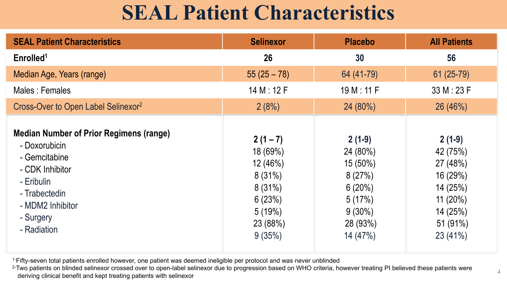## **SEAL Patient Characteristics**

| <b>SEAL Patient Characteristics</b>                                                                                                                                                | <b>Selinexor</b>                                                                                       | <b>Placebo</b>                                                                                       | <b>All Patients</b>                                                                                          |
|------------------------------------------------------------------------------------------------------------------------------------------------------------------------------------|--------------------------------------------------------------------------------------------------------|------------------------------------------------------------------------------------------------------|--------------------------------------------------------------------------------------------------------------|
| Enrolled <sup>1</sup>                                                                                                                                                              | 26                                                                                                     | 30                                                                                                   | 56                                                                                                           |
| Median Age, Years (range)                                                                                                                                                          | $55(25-78)$                                                                                            | 64 (41-79)                                                                                           | $61(25-79)$                                                                                                  |
| Males: Females                                                                                                                                                                     | 14 M : 12 F                                                                                            | 19 M : 11 F                                                                                          | 33 M : 23 F                                                                                                  |
| Cross-Over to Open Label Selinexor <sup>2</sup>                                                                                                                                    | 2(8%)                                                                                                  | 24 (80%)                                                                                             | 26 (46%)                                                                                                     |
| <b>Median Number of Prior Regimens (range)</b><br>- Doxorubicin<br>- Gemcitabine<br>- CDK Inhibitor<br>- Eribulin<br>- Trabectedin<br>- MDM2 Inhibitor<br>- Surgery<br>- Radiation | $2(1 - 7)$<br>18 (69%)<br>12 (46%)<br>$8(31\%)$<br>$8(31\%)$<br>6(23%)<br>5(19%)<br>23 (88%)<br>9(35%) | $2(1-9)$<br>24 (80%)<br>$15(50\%)$<br>8(27%)<br>6(20%)<br>5(17%)<br>$9(30\%)$<br>28 (93%)<br>14(47%) | $2(1-9)$<br>42 (75%)<br>27 (48%)<br>16 (29%)<br>14 (25%)<br>$11(20\%)$<br>14 (25%)<br>51 (91%)<br>$23(41\%)$ |

<sup>1-</sup>Fifty-seven total patients enrolled however, one patient was deemed ineligible per protocol and was never unblinded

<sup>2-</sup>Two patients on blinded selinexor crossed over to open-label selinexor due to progression based on WHO criteria, however treating PI believed these patients were deriving clinical benefit and kept treating patients with selinexor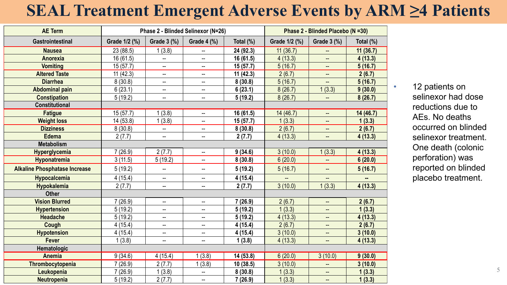#### **SEAL Treatment Emergent Adverse Events by ARM ≥4 Patients**

| <b>AE Term</b>                       |               |                          | Phase 2 - Blinded Selinexor (N=26) | Phase 2 - Blinded Placebo (N =30) |               |                          |           |
|--------------------------------------|---------------|--------------------------|------------------------------------|-----------------------------------|---------------|--------------------------|-----------|
| <b>Gastrointestinal</b>              | Grade 1/2 (%) | Grade 3 (%)              | Grade 4 (%)                        | Total (%)                         | Grade 1/2 (%) | Grade 3 (%)              | Total (%) |
| <b>Nausea</b>                        | 23 (88.5)     | 1(3.8)                   | $\overline{\phantom{a}}$           | 24 (92.3)                         | 11(36.7)      | $\overline{\phantom{a}}$ | 11(36.7)  |
| <b>Anorexia</b>                      | 16 (61.5)     |                          | --                                 | 16 (61.5)                         | 4(13.3)       |                          | 4(13.3)   |
| <b>Vomiting</b>                      | 15(57.7)      | $\overline{\phantom{a}}$ | --                                 | 15(57.7)                          | 5(16.7)       |                          | 5(16.7)   |
| <b>Altered Taste</b>                 | 11(42.3)      | $\overline{a}$           | ⊷                                  | 11(42.3)                          | 2(6.7)        | $\overline{a}$           | 2(6.7)    |
| <b>Diarrhea</b>                      | 8(30.8)       | −−                       | $\overline{\phantom{a}}$           | 8(30.8)                           | 5(16.7)       | --                       | 5(16.7)   |
| <b>Abdominal pain</b>                | 6(23.1)       | $\overline{\phantom{a}}$ | --                                 | 6(23.1)                           | 8(26.7)       | 1(3.3)                   | 9(30.0)   |
| <b>Constipation</b>                  | 5(19.2)       | $\overline{\phantom{a}}$ | $\overline{\phantom{a}}$           | 5(19.2)                           | 8(26.7)       | --                       | 8(26.7)   |
| <b>Constitutional</b>                |               |                          |                                    |                                   |               |                          |           |
| <b>Fatigue</b>                       | 15(57.7)      | 1(3.8)                   | $\sim$                             | 16 (61.5)                         | 14 (46.7)     | --                       | 14 (46.7) |
| <b>Weight loss</b>                   | 14 (53.8)     | 1(3.8)                   | --                                 | 15(57.7)                          | 1(3.3)        | $-$                      | 1(3.3)    |
| <b>Dizziness</b>                     | 8(30.8)       | $\overline{\phantom{a}}$ | $\sim$                             | 8(30.8)                           | 2(6.7)        | $\qquad \qquad -$        | 2(6.7)    |
| <b>Edema</b>                         | 2(7.7)        | $\sim$                   | $\sim$                             | 2(7.7)                            | 4(13.3)       | --                       | 4(13.3)   |
| <b>Metabolism</b>                    |               |                          |                                    |                                   |               |                          |           |
| <b>Hyperglycemia</b>                 | 7(26.9)       | 2(7.7)                   | $\overline{\phantom{a}}$           | 9(34.6)                           | 3(10.0)       | 1(3.3)                   | 4(13.3)   |
| Hyponatremia                         | 3(11.5)       | 5(19.2)                  | $\overline{a}$                     | 8(30.8)                           | 6(20.0)       |                          | 6(20.0)   |
| <b>Alkaline Phosphatase Increase</b> | 5(19.2)       | $\overline{\phantom{a}}$ | $\overline{\phantom{a}}$           | 5(19.2)                           | 5(16.7)       | $\qquad \qquad -$        | 5(16.7)   |
| <b>Hypocalcemia</b>                  | 4(15.4)       | $\overline{\phantom{a}}$ | $\overline{\phantom{a}}$           | 4(15.4)                           |               | $\overline{\phantom{a}}$ | н.        |
| Hypokalemia                          | 2(7.7)        | $\overline{a}$           | ⊷                                  | 2(7.7)                            | 3(10.0)       | 1(3.3)                   | 4(13.3)   |
| <b>Other</b>                         |               |                          |                                    |                                   |               |                          |           |
| <b>Vision Blurred</b>                | 7(26.9)       | $\sim$                   | $\overline{\phantom{a}}$           | 7(26.9)                           | 2(6.7)        | —                        | 2(6.7)    |
| <b>Hypertension</b>                  | 5(19.2)       | $\overline{\phantom{m}}$ | --                                 | 5(19.2)                           | 1(3.3)        | --                       | 1(3.3)    |
| <b>Headache</b>                      | 5(19.2)       | $\overline{\phantom{a}}$ | $\overline{\phantom{a}}$           | 5(19.2)                           | 4(13.3)       |                          | 4(13.3)   |
| Cough                                | 4(15.4)       | $\overline{\phantom{m}}$ | $\overline{\phantom{a}}$           | 4(15.4)                           | 2(6.7)        | $\overline{\phantom{a}}$ | 2(6.7)    |
| <b>Hypotension</b>                   | 4(15.4)       | $\overline{\phantom{a}}$ | $\overline{\phantom{a}}$           | 4(15.4)                           | 3(10.0)       | --                       | 3(10.0)   |
| <b>Fever</b>                         | 1(3.8)        | $\overline{\phantom{a}}$ | --                                 | 1(3.8)                            | 4(13.3)       | $\overline{\phantom{a}}$ | 4(13.3)   |
| Hematologic                          |               |                          |                                    |                                   |               |                          |           |
| <b>Anemia</b>                        | 9(34.6)       | 4(15.4)                  | 1(3.8)                             | 14 (53.8)                         | 6(20.0)       | 3(10.0)                  | 9(30.0)   |
| Thrombocytopenia                     | 7(26.9)       | 2(7.7)                   | 1(3.8)                             | 10(38.5)                          | 3(10.0)       | $\overline{\phantom{a}}$ | 3(10.0)   |
| Leukopenia                           | 7(26.9)       | 1(3.8)                   | --                                 | 8(30.8)                           | 1(3.3)        | $\qquad \qquad -$        | 1(3.3)    |
| <b>Neutropenia</b>                   | 5(19.2)       | 2(7.7)                   | Ξ.                                 | 7(26.9)                           | 1(3.3)        | $\equiv$                 | 1(3.3)    |

• 12 patients on selinexor had dose reductions due to AEs. No deaths occurred on blinded selinexor treatment. One death (colonic perforation) was reported on blinded placebo treatment.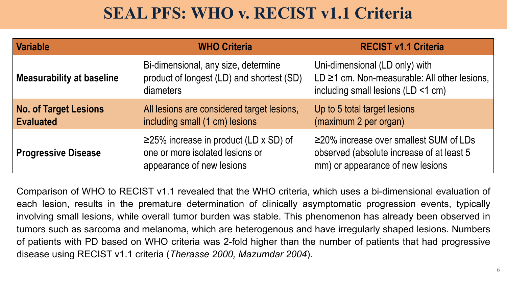#### **SEAL PFS: WHO v. RECIST v1.1 Criteria**

| <b>Variable</b>                                  | <b>WHO Criteria</b>                                                                                         | <b>RECIST v1.1 Criteria</b>                                                                                                   |
|--------------------------------------------------|-------------------------------------------------------------------------------------------------------------|-------------------------------------------------------------------------------------------------------------------------------|
| <b>Measurability at baseline</b>                 | Bi-dimensional, any size, determine<br>product of longest (LD) and shortest (SD)<br>diameters               | Uni-dimensional (LD only) with<br>LD ≥1 cm. Non-measurable: All other lesions,<br>including small lesions (LD <1 cm)          |
| <b>No. of Target Lesions</b><br><b>Evaluated</b> | All lesions are considered target lesions,<br>including small (1 cm) lesions                                | Up to 5 total target lesions<br>(maximum 2 per organ)                                                                         |
| <b>Progressive Disease</b>                       | $\geq$ 25% increase in product (LD x SD) of<br>one or more isolated lesions or<br>appearance of new lesions | $\geq$ 20% increase over smallest SUM of LDs<br>observed (absolute increase of at least 5<br>mm) or appearance of new lesions |

Comparison of WHO to RECIST v1.1 revealed that the WHO criteria, which uses a bi-dimensional evaluation of each lesion, results in the premature determination of clinically asymptomatic progression events, typically involving small lesions, while overall tumor burden was stable. This phenomenon has already been observed in tumors such as sarcoma and melanoma, which are heterogenous and have irregularly shaped lesions. Numbers of patients with PD based on WHO criteria was 2-fold higher than the number of patients that had progressive disease using RECIST v1.1 criteria (*Therasse 2000, Mazumdar 2004*).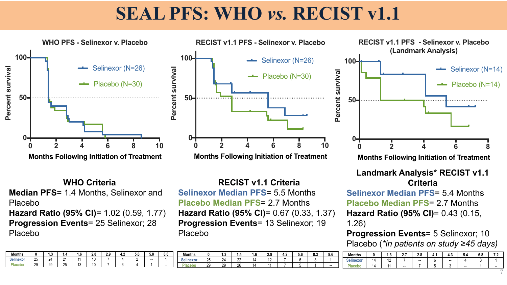## **SEAL PFS: WHO** *vs.* **RECIST v1.1**



**WHO Criteria Median PFS**= 1.4 Months, Selinexor and Placebo **Hazard Ratio (95% CI)**= 1.02 (0.59, 1.77) **Progression Events**= 25 Selinexor; 28 Placebo

**RECIST v1.1 Criteria Selinexor Median PFS**= 5.5 Months **Placebo Median PFS**= 2.7 Months **Hazard Ratio (95% CI)**= 0.67 (0.33, 1.37) **Progression Events**= 13 Selinexor; 19 Placebo

**Criteria Selinexor Median PFS**= 5.4 Months **Placebo Median PFS**= 2.7 Months **Hazard Ratio (95% CI)**= 0.43 (0.15, 1.26)

**Progression Events**= 5 Selinexor; 10 Placebo (*\*in patients on study ≥45 days)*

| <b>Months</b>    |    | ໍາ<br>ט.ו      | -<br>$\bullet$<br><b></b> | 2.8                      | -4<br>י- | 4.3                      | 5.4                      | 6.8 | $\epsilon$ . $\epsilon$ |
|------------------|----|----------------|---------------------------|--------------------------|----------|--------------------------|--------------------------|-----|-------------------------|
| <b>Selinexor</b> | 14 | $\overline{A}$ |                           | $\overline{\phantom{a}}$ |          | $\overline{\phantom{a}}$ |                          |     |                         |
|                  | 14 | 11             | $\overline{\phantom{a}}$  |                          |          |                          | $\overline{\phantom{a}}$ |     | $-$                     |
|                  |    |                |                           |                          |          |                          |                          |     | −                       |

| <b>Months</b>  |                 | ۰. تا | . .     | 1.V | າດ<br>L.v | 2.9 | т. д | v.v | v.v                      | o.u                      |  |
|----------------|-----------------|-------|---------|-----|-----------|-----|------|-----|--------------------------|--------------------------|--|
| <b>Ainexor</b> | <b>OF</b><br>2υ | 2Δ    |         |     | 10        |     |      |     | $\overline{\phantom{a}}$ |                          |  |
|                | ററ<br>ت         | 29    | つに<br>້ | ر . | 10        |     |      |     |                          | $\overline{\phantom{a}}$ |  |

| <b>Months</b>    |          | ن. ا                  | . .      | v  | 2.8                      | <br>т. д | c c<br>ง.ต | $\sim$<br>ი.ა | 8.6    |
|------------------|----------|-----------------------|----------|----|--------------------------|----------|------------|---------------|--------|
| <b>Selinexor</b> | つに<br>رے | 2 <sub>A</sub><br>- 1 | nn<br>ᅩ  | Д  | $\overline{ }$<br>$\sim$ |          |            |               |        |
| m.               | 29       | ാറ<br>ت               | ገድ<br>∠∪ | ιΔ |                          |          |            |               | $\sim$ |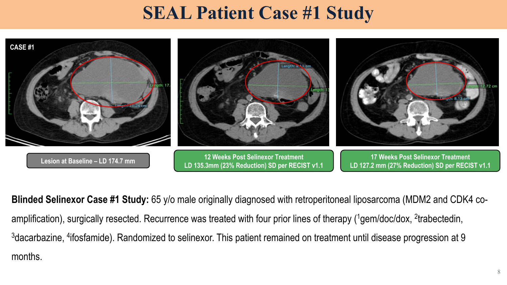### **SEAL Patient Case #1 Study**



**Blinded Selinexor Case #1 Study:** 65 y/o male originally diagnosed with retroperitoneal liposarcoma (MDM2 and CDK4 coamplification), surgically resected. Recurrence was treated with four prior lines of therapy (<sup>1</sup>gem/doc/dox, <sup>2</sup>trabectedin,  $3$ dacarbazine,  $4$ ifosfamide). Randomized to selinexor. This patient remained on treatment until disease progression at 9 months.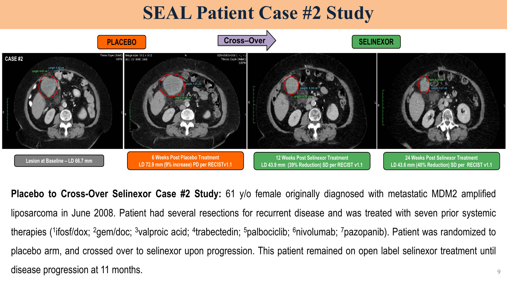## **SEAL Patient Case #2 Study**



9 **Placebo to Cross-Over Selinexor Case #2 Study:** 61 y/o female originally diagnosed with metastatic MDM2 amplified liposarcoma in June 2008. Patient had several resections for recurrent disease and was treated with seven prior systemic therapies (<sup>1</sup>ifosf/dox; <sup>2</sup>gem/doc; <sup>3</sup>valproic acid; <sup>4</sup>trabectedin; <sup>5</sup>palbociclib; <sup>6</sup>nivolumab; <sup>7</sup>pazopanib). Patient was randomized to placebo arm, and crossed over to selinexor upon progression. This patient remained on open label selinexor treatment until disease progression at 11 months.